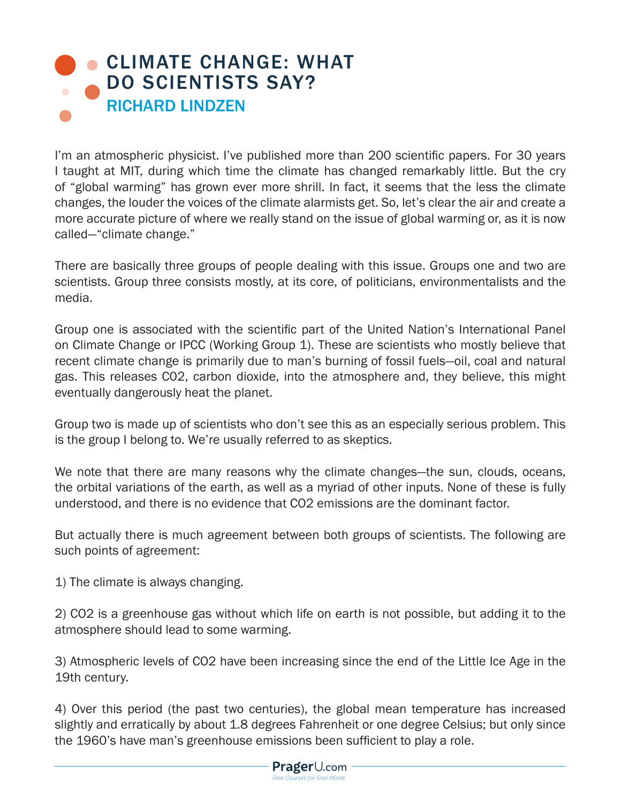## [CLIMATE CHANGE: WHAT](https://www.prageru.com/courses/environmental-science/climate-change-what-do-scientists-say) DO SCIENTISTS SAY? RICHARD LINDZEN

I'm an atmospheric physicist. I've published more than 200 scientific papers. For 30 years I taught at MIT, during which time the climate has changed remarkably little. But the cry of "global warming" has grown ever more shrill. In fact, it seems that the less the climate changes, the louder the voices of the climate alarmists get. So, let's clear the air and create a more accurate picture of where we really stand on the issue of global warming or, as it is now called—"climate change."

There are basically three groups of people dealing with this issue. Groups one and two are scientists. Group three consists mostly, at its core, of politicians, environmentalists and the media.

Group one is associated with the scientific part of the United Nation's International Panel on Climate Change or IPCC (Working Group 1). These are scientists who mostly believe that recent climate change is primarily due to man's burning of fossil fuels—oil, coal and natural gas. This releases C02, carbon dioxide, into the atmosphere and, they believe, this might eventually dangerously heat the planet.

Group two is made up of scientists who don't see this as an especially serious problem. This is the group I belong to. We're usually referred to as skeptics.

We note that there are many reasons why the climate changes—the sun, clouds, oceans, the orbital variations of the earth, as well as a myriad of other inputs. None of these is fully understood, and there is no evidence that CO2 emissions are the dominant factor.

But actually there is much agreement between both groups of scientists. The following are such points of agreement:

1) The climate is always changing.

2) CO2 is a greenhouse gas without which life on earth is not possible, but adding it to the atmosphere should lead to some warming.

3) Atmospheric levels of CO2 have been increasing since the end of the Little Ice Age in the 19th century.

4) Over this period (the past two centuries), the global mean temperature has increased slightly and erratically by about 1.8 degrees Fahrenheit or one degree Celsius; but only since the 1960's have man's greenhouse emissions been sufficient to play a role.